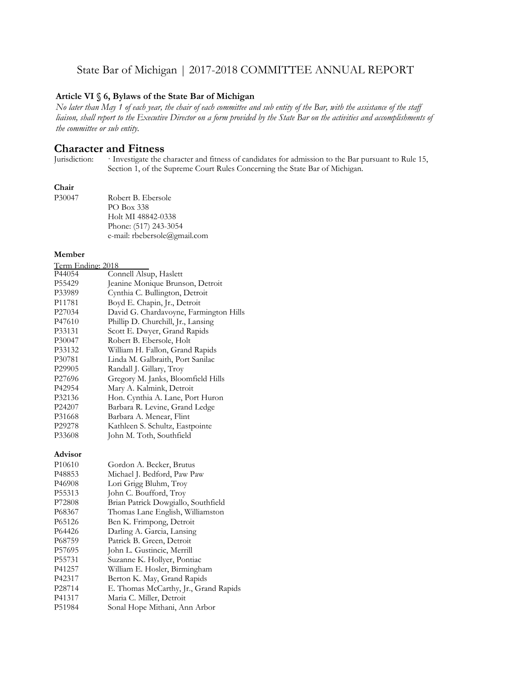## State Bar of Michigan | 2017-2018 COMMITTEE ANNUAL REPORT

#### **Article VI § 6, Bylaws of the State Bar of Michigan**

*No later than May 1 of each year, the chair of each committee and sub entity of the Bar, with the assistance of the staff liaison, shall report to the Executive Director on a form provided by the State Bar on the activities and accomplishments of the committee or sub entity.*

# **Character and Fitness**<br>Jurisdiction: Investigate the c

Investigate the character and fitness of candidates for admission to the Bar pursuant to Rule 15, Section 1, of the Supreme Court Rules Concerning the State Bar of Michigan.

#### **Chair**

| P30047 | Robert B. Ebersole           |
|--------|------------------------------|
|        | PO Box 338                   |
|        | Holt MI 48842-0338           |
|        | Phone: (517) 243-3054        |
|        | e-mail: rbebersole@gmail.com |

#### **Member**

| Term Ending: 2018  |                                        |
|--------------------|----------------------------------------|
| P44054             | Connell Alsup, Haslett                 |
| P55429             | Jeanine Monique Brunson, Detroit       |
| P33989             | Cynthia C. Bullington, Detroit         |
| P <sub>11781</sub> | Boyd E. Chapin, Jr., Detroit           |
| P <sub>27034</sub> | David G. Chardavoyne, Farmington Hills |
| P47610             | Phillip D. Churchill, Jr., Lansing     |
| P33131             | Scott E. Dwyer, Grand Rapids           |
| P30047             | Robert B. Ebersole, Holt               |
| P33132             | William H. Fallon, Grand Rapids        |
| P30781             | Linda M. Galbraith, Port Sanilac       |
| P <sub>29905</sub> | Randall J. Gillary, Troy               |
| P <sub>27696</sub> | Gregory M. Janks, Bloomfield Hills     |
| P42954             | Mary A. Kalmink, Detroit               |
| P32136             | Hon. Cynthia A. Lane, Port Huron       |
| P <sub>24207</sub> | Barbara R. Levine, Grand Ledge         |
| P31668             | Barbara A. Menear, Flint               |
| P <sub>29278</sub> | Kathleen S. Schultz, Eastpointe        |
| P33608             | John M. Toth, Southfield               |
|                    |                                        |

#### **Advisor**

| P <sub>10610</sub> | Gordon A. Becker, Brutus              |
|--------------------|---------------------------------------|
| P48853             | Michael J. Bedford, Paw Paw           |
| P46908             | Lori Grigg Bluhm, Troy                |
| P55313             | John C. Boufford, Troy                |
| P72808             | Brian Patrick Dowgiallo, Southfield   |
| P68367             | Thomas Lane English, Williamston      |
| P <sub>65126</sub> | Ben K. Frimpong, Detroit              |
| P64426             | Darling A. Garcia, Lansing            |
| P <sub>68759</sub> | Patrick B. Green, Detroit             |
| P57695             | John L. Gustincic, Merrill            |
| P55731             | Suzanne K. Hollyer, Pontiac           |
| P41257             | William E. Hosler, Birmingham         |
| P42317             | Berton K. May, Grand Rapids           |
| P28714             | E. Thomas McCarthy, Jr., Grand Rapids |
| P41317             | Maria C. Miller, Detroit              |
| P51984             | Sonal Hope Mithani, Ann Arbor         |
|                    |                                       |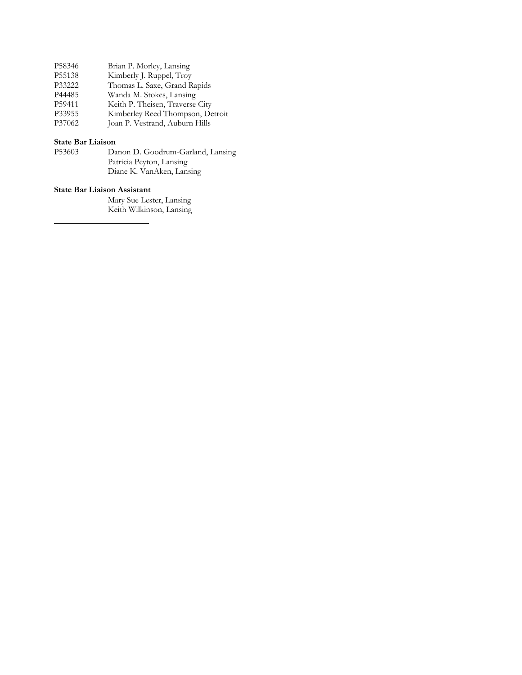| P58346 | Brian P. Morley, Lansing         |
|--------|----------------------------------|
| P55138 | Kimberly J. Ruppel, Troy         |
| P33222 | Thomas L. Saxe, Grand Rapids     |
| P44485 | Wanda M. Stokes, Lansing         |
| P59411 | Keith P. Theisen, Traverse City  |
| P33955 | Kimberley Reed Thompson, Detroit |
| P37062 | Joan P. Vestrand, Auburn Hills   |

#### **State Bar Liaison**

| P53603 | Danon D. Goodrum-Garland, Lansing |
|--------|-----------------------------------|
|        | Patricia Peyton, Lansing          |
|        | Diane K. VanAken, Lansing         |

#### **State Bar Liaison Assistant**

Mary Sue Lester, Lansing Keith Wilkinson, Lansing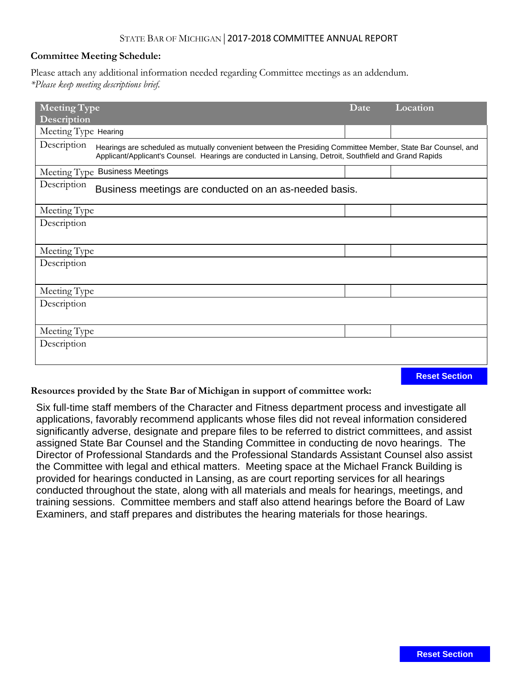## STATE BAR OF MICHIGAN|2017-2018 COMMITTEE ANNUAL REPORT

#### **Committee Meeting Schedule:**

Please attach any additional information needed regarding Committee meetings as an addendum. *\*Please keep meeting descriptions brief.*

| <b>Meeting Type</b>                                                   |                                                                                                                                                                                                                        | Date | Location |  |
|-----------------------------------------------------------------------|------------------------------------------------------------------------------------------------------------------------------------------------------------------------------------------------------------------------|------|----------|--|
| Description                                                           |                                                                                                                                                                                                                        |      |          |  |
| Meeting Type Hearing                                                  |                                                                                                                                                                                                                        |      |          |  |
| Description                                                           | Hearings are scheduled as mutually convenient between the Presiding Committee Member, State Bar Counsel, and<br>Applicant/Applicant's Counsel. Hearings are conducted in Lansing, Detroit, Southfield and Grand Rapids |      |          |  |
|                                                                       | Meeting Type Business Meetings                                                                                                                                                                                         |      |          |  |
| Description<br>Business meetings are conducted on an as-needed basis. |                                                                                                                                                                                                                        |      |          |  |
| Meeting Type                                                          |                                                                                                                                                                                                                        |      |          |  |
| Description                                                           |                                                                                                                                                                                                                        |      |          |  |
|                                                                       |                                                                                                                                                                                                                        |      |          |  |
| Meeting Type                                                          |                                                                                                                                                                                                                        |      |          |  |
| Description                                                           |                                                                                                                                                                                                                        |      |          |  |
|                                                                       |                                                                                                                                                                                                                        |      |          |  |
| Meeting Type                                                          |                                                                                                                                                                                                                        |      |          |  |
| Description                                                           |                                                                                                                                                                                                                        |      |          |  |
|                                                                       |                                                                                                                                                                                                                        |      |          |  |
| Meeting Type                                                          |                                                                                                                                                                                                                        |      |          |  |
| Description                                                           |                                                                                                                                                                                                                        |      |          |  |
|                                                                       |                                                                                                                                                                                                                        |      |          |  |
|                                                                       |                                                                                                                                                                                                                        |      |          |  |

**Reset Section**

**Resources provided by the State Bar of Michigan in support of committee work:**

Six full-time staff members of the Character and Fitness department process and investigate all applications, favorably recommend applicants whose files did not reveal information considered significantly adverse, designate and prepare files to be referred to district committees, and assist assigned State Bar Counsel and the Standing Committee in conducting de novo hearings. The Director of Professional Standards and the Professional Standards Assistant Counsel also assist the Committee with legal and ethical matters. Meeting space at the Michael Franck Building is provided for hearings conducted in Lansing, as are court reporting services for all hearings conducted throughout the state, along with all materials and meals for hearings, meetings, and training sessions. Committee members and staff also attend hearings before the Board of Law Examiners, and staff prepares and distributes the hearing materials for those hearings.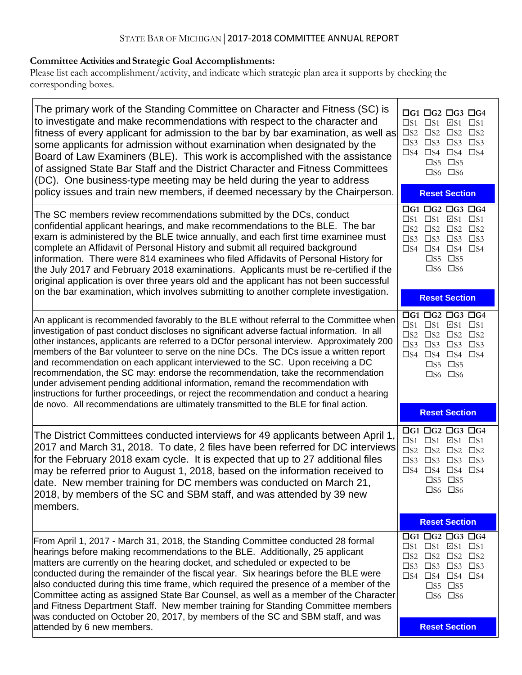# **Committee Activities and Strategic Goal Accomplishments:**

Please list each accomplishment/activity, and indicate which strategic plan area it supports by checking the corresponding boxes.

| The primary work of the Standing Committee on Character and Fitness (SC) is<br>to investigate and make recommendations with respect to the character and<br>fitness of every applicant for admission to the bar by bar examination, as well as<br>some applicants for admission without examination when designated by the<br>Board of Law Examiners (BLE). This work is accomplished with the assistance<br>of assigned State Bar Staff and the District Character and Fitness Committees<br>(DC). One business-type meeting may be held during the year to address                                                                                                                                                             | $\Box$ G1 $\Box$ G2 $\Box$ G3 $\Box$ G4<br>$\square$ S1 $\square$ S1 $\square$ S1 $\square$ S1<br>$\square$ S2 $\square$ S2 $\square$ S2<br>$\square$ S2<br>$\square$ S3<br>$\square$ S3 $\square$ S3<br>$\square$ S3<br>$\square$ S4 $\square$ S4 $\square$ S4<br>$\square$ S5 $\square$ S5<br>$\square$ S6 $\square$ S6 |
|----------------------------------------------------------------------------------------------------------------------------------------------------------------------------------------------------------------------------------------------------------------------------------------------------------------------------------------------------------------------------------------------------------------------------------------------------------------------------------------------------------------------------------------------------------------------------------------------------------------------------------------------------------------------------------------------------------------------------------|---------------------------------------------------------------------------------------------------------------------------------------------------------------------------------------------------------------------------------------------------------------------------------------------------------------------------|
| policy issues and train new members, if deemed necessary by the Chairperson.                                                                                                                                                                                                                                                                                                                                                                                                                                                                                                                                                                                                                                                     | <b>Reset Section</b>                                                                                                                                                                                                                                                                                                      |
| The SC members review recommendations submitted by the DCs, conduct<br>confidential applicant hearings, and make recommendations to the BLE. The bar<br>exam is administered by the BLE twice annually, and each first time examinee must<br>complete an Affidavit of Personal History and submit all required background<br>information. There were 814 examinees who filed Affidavits of Personal History for<br>the July 2017 and February 2018 examinations. Applicants must be re-certified if the<br>original application is over three years old and the applicant has not been successful                                                                                                                                | $\Box G1$ $\Box G2$ $\Box G3$ $\Box G4$<br>$\square$ S1 $\square$ S1 $\square$ S1 $\square$ S1<br>$\square$ S2 $\square$ S2 $\square$ S2<br>$\square$ S3 $\square$ S3 $\square$ S3<br>$\square$ S3<br>$\square$ S4 $\square$ S4 $\square$ S4<br>$\square$ S5 $\square$ S5<br>$\square$ S6 $\square$ S6                    |
| on the bar examination, which involves submitting to another complete investigation.                                                                                                                                                                                                                                                                                                                                                                                                                                                                                                                                                                                                                                             | <b>Reset Section</b>                                                                                                                                                                                                                                                                                                      |
| An applicant is recommended favorably to the BLE without referral to the Committee when<br>investigation of past conduct discloses no significant adverse factual information. In all<br>other instances, applicants are referred to a DCfor personal interview. Approximately 200<br>members of the Bar volunteer to serve on the nine DCs. The DCs issue a written report<br>and recommendation on each applicant interviewed to the SC. Upon receiving a DC<br>recommendation, the SC may: endorse the recommendation, take the recommendation<br>under advisement pending additional information, remand the recommendation with<br>instructions for further proceedings, or reject the recommendation and conduct a hearing | $\Box G1$ $\Box G2$ $\Box G3$ $\Box G4$<br>$\square$ S1 $\square$ S1 $\square$ S1 $\square$ S1<br>$\square$ S2 $\square$ S2 $\square$ S2<br>$\square$ S3 $\square$ S3 $\square$ S3<br>$\square$ S3<br>$\square$ S4 $\square$ S4 $\square$ S4<br>$\square$ S5 $\square$ S5<br>$\square$ S6 $\square$ S6                    |
| de novo. All recommendations are ultimately transmitted to the BLE for final action.                                                                                                                                                                                                                                                                                                                                                                                                                                                                                                                                                                                                                                             | <b>Reset Section</b>                                                                                                                                                                                                                                                                                                      |
| The District Committees conducted interviews for 49 applicants between April 1,<br>2017 and March 31, 2018. To date, 2 files have been referred for DC interviews<br>for the February 2018 exam cycle. It is expected that up to 27 additional files<br>may be referred prior to August 1, 2018, based on the information received to<br> date. New member training for DC members was conducted on March 21,<br>2018, by members of the SC and SBM staff, and was attended by 39 new<br>members.                                                                                                                                                                                                                                | $\Box G1$ $\Box G2$ $\Box G3$ $\Box G4$<br>$\square$ S1 $\square$ S1 $\square$ S1<br>$\square$ S2 $\square$ S2 $\square$ S2<br>$\square$ S2<br>$\square$ S3 $\square$ S3 $\square$ S3<br>$\square$ S4 $\square$ S4 $\square$ S4<br>$\square$ S5 $\square$ S5<br>$\square$ S6 $\square$ S6                                 |
|                                                                                                                                                                                                                                                                                                                                                                                                                                                                                                                                                                                                                                                                                                                                  | <b>Reset Section</b>                                                                                                                                                                                                                                                                                                      |
| From April 1, 2017 - March 31, 2018, the Standing Committee conducted 28 formal<br>hearings before making recommendations to the BLE. Additionally, 25 applicant<br>matters are currently on the hearing docket, and scheduled or expected to be<br>conducted during the remainder of the fiscal year. Six hearings before the BLE were<br>also conducted during this time frame, which required the presence of a member of the<br>Committee acting as assigned State Bar Counsel, as well as a member of the Character<br>and Fitness Department Staff. New member training for Standing Committee members<br>was conducted on October 20, 2017, by members of the SC and SBM staff, and was                                   | $\Box G1$ $\Box G2$ $\Box G3$ $\Box G4$<br>$\square$ S1 $\square$ S1 $\square$ S1 $\square$ S1<br>$\square$ S2 $\square$ S2 $\square$ S2 $\square$ S2<br>$\square$ S3 $\square$ S3 $\square$ S3<br>$\square$ S4 $\square$ S4 $\square$ S4<br>$\square$ S5 $\square$ S5<br>$\square$ S6 $\square$ S6                       |
| attended by 6 new members.                                                                                                                                                                                                                                                                                                                                                                                                                                                                                                                                                                                                                                                                                                       | <b>Reset Section</b>                                                                                                                                                                                                                                                                                                      |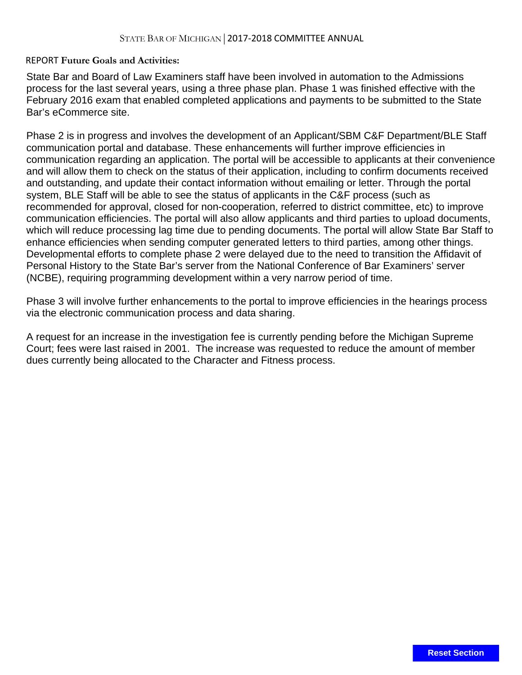## REPORT **Future Goals and Activities:**

State Bar and Board of Law Examiners staff have been involved in automation to the Admissions process for the last several years, using a three phase plan. Phase 1 was finished effective with the February 2016 exam that enabled completed applications and payments to be submitted to the State Bar's eCommerce site.

Phase 2 is in progress and involves the development of an Applicant/SBM C&F Department/BLE Staff communication portal and database. These enhancements will further improve efficiencies in communication regarding an application. The portal will be accessible to applicants at their convenience and will allow them to check on the status of their application, including to confirm documents received and outstanding, and update their contact information without emailing or letter. Through the portal system, BLE Staff will be able to see the status of applicants in the C&F process (such as recommended for approval, closed for non-cooperation, referred to district committee, etc) to improve communication efficiencies. The portal will also allow applicants and third parties to upload documents, which will reduce processing lag time due to pending documents. The portal will allow State Bar Staff to enhance efficiencies when sending computer generated letters to third parties, among other things. Developmental efforts to complete phase 2 were delayed due to the need to transition the Affidavit of Personal History to the State Bar's server from the National Conference of Bar Examiners' server (NCBE), requiring programming development within a very narrow period of time.

Phase 3 will involve further enhancements to the portal to improve efficiencies in the hearings process via the electronic communication process and data sharing.

A request for an increase in the investigation fee is currently pending before the Michigan Supreme Court; fees were last raised in 2001. The increase was requested to reduce the amount of member dues currently being allocated to the Character and Fitness process.